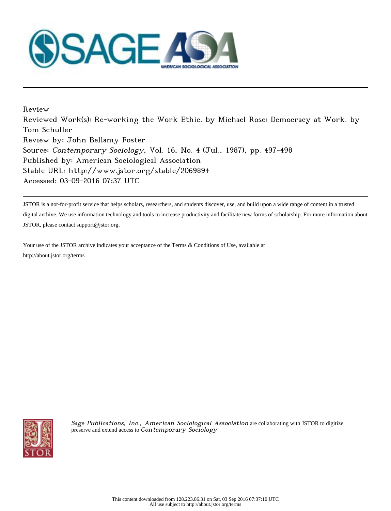

Review Reviewed Work(s): Re-working the Work Ethic. by Michael Rose; Democracy at Work. by Tom Schuller Review by: John Bellamy Foster Source: Contemporary Sociology, Vol. 16, No. 4 (Jul., 1987), pp. 497-498 Published by: American Sociological Association Stable URL: http://www.jstor.org/stable/2069894 Accessed: 03-09-2016 07:37 UTC

JSTOR is a not-for-profit service that helps scholars, researchers, and students discover, use, and build upon a wide range of content in a trusted digital archive. We use information technology and tools to increase productivity and facilitate new forms of scholarship. For more information about JSTOR, please contact support@jstor.org.

Your use of the JSTOR archive indicates your acceptance of the Terms & Conditions of Use, available at http://about.jstor.org/terms



Sage Publications, Inc., American Sociological Association are collaborating with JSTOR to digitize, preserve and extend access to Contemporary Sociology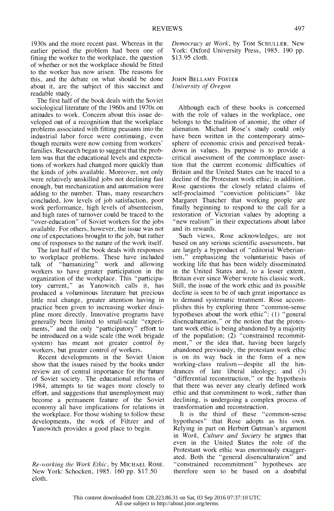1930s and the more recent past. Whereas in the earlier period the problem had been one of fitting the worker to the workplace, the question of whether or not the workplace should be fitted to the worker has now arisen. The reasons for this, and the debate on what should be done about it, are the subject of this succinct and readable study.

 The first half of the book deals with the Soviet sociological literature of the 1960s and 1970s on attitudes to work. Concern about this issue de veloped out of a recognition that the workplace problems associated with fitting peasants into the industrial labor force were continuing, even though recruits were now coming from workers' families. Research began to suggest that the prob lem was that the educational levels and expecta tions of workers had changed more quickly than the kinds of jobs available. Moreover, not only were relatively unskilled jobs not declining fast enough, but mechanization and automation were adding to the number. Thus, many researchers concluded, low levels of job satisfaction, poor work performance, high levels of absenteeism, and high rates of turnover could be traced to the "over-education" of Soviet workers for the jobs available. For others, however, the issue was not one of expectations brought to the job, but rather one of responses to the nature of the work itself.

 The last half of the book deals with responses to workplace problems. These have included talk of "humanizing" work and allowing workers to have greater participation in the organization of the workplace. This "participa tory current," as Yanowitch calls it, has produced a voluminous literature but precious little real change, greater attention having in practice been given to increasing worker disci pline more directly. Innovative programs have generally been limited to small-scale "experi ments," and the only "participatory" effort to be introduced on a wide scale (the work brigade system) has meant not greater control by workers, but greater control of workers.

 Recent developments in the Soviet Union show that the issues raised by the books under review are of central importance for the future of Soviet society. The educational reforms of 1984, attempts to tie wages more closely to effort, and suggestions that unemployment may become a permanent feature of the Soviet economy all have implications for relations in the workplace. For those wishing to follow these developments, the work of Filtzer and of Yanowitch provides a good place to begin.

 Re-working the Work Ethic, by MICHAEL ROSE. New York: Schocken, 1985. 160 pp. \$17.50 cloth.

 Democracy at Work, by TOM SCHULLER. New York: Oxford University Press, 1985. 190 pp. \$13.95 cloth.

 JOHN BELLAMY FOSTER University of Oregon

 Although each of these books is concerned with the role of values in the workplace, one belongs to the tradition of anomie, the other of alienation. Michael Rose's study could only have been written in the contemporary atmo sphere of economic crisis and perceived break down in values. Its purpose is to provide a critical assessment of the commonplace asser tion that the current economic difficulties of Britain and the United States can be traced to a decline of the Protestant work ethic; in addition, Rose questions the closely related claims of self-proclaimed "conviction politicians" like Margaret Thatcher that working people are finally beginning to respond to the call for a restoration of Victorian values by adopting a "new realism" in their expectations about labor and its rewards.

 Such views, Rose acknowledges, are not based on any serious scientific assessments, but are largely a byproduct of "editorial Weberian ism," emphasizing the voluntaristic basis of working life that has been widely disseminated in the United States and, to a lesser extent, Britain ever since Weber wrote his classic work. Still, the issue of the work ethic and its possible decline is seen to be of such great importance as to demand systematic treatment. Rose accom plishes this by exploring three "common-sense hypotheses about the work ethic": (1) "general disenculturation," or the notion that the protes tant work ethic is being abandoned by a majority of the population; (2) "constrained recommit ment," or the idea that, having been largely abandoned previously, the protestant work ethic is on its way back in the form of a new working-class realism-despite all the hin drances of late liberal ideology; and (3) "differential reconstruction," or the hypothesis that there was never any clearly defined work ethic and that commitment to work, rather than declining, is undergoing a complex process of transformation and reconstruction.

 It is the third of these "common-sense hypotheses" that Rose adopts as his own. Relying in part on Herbert Gutman's argument in Work, Culture and Society he argues that even in the United States the role of the Protestant work ethic was enormously exagger ated. Both the "general disenculturation" and " constrained recommitment" hypotheses are therefore seen to be based on a doubtful